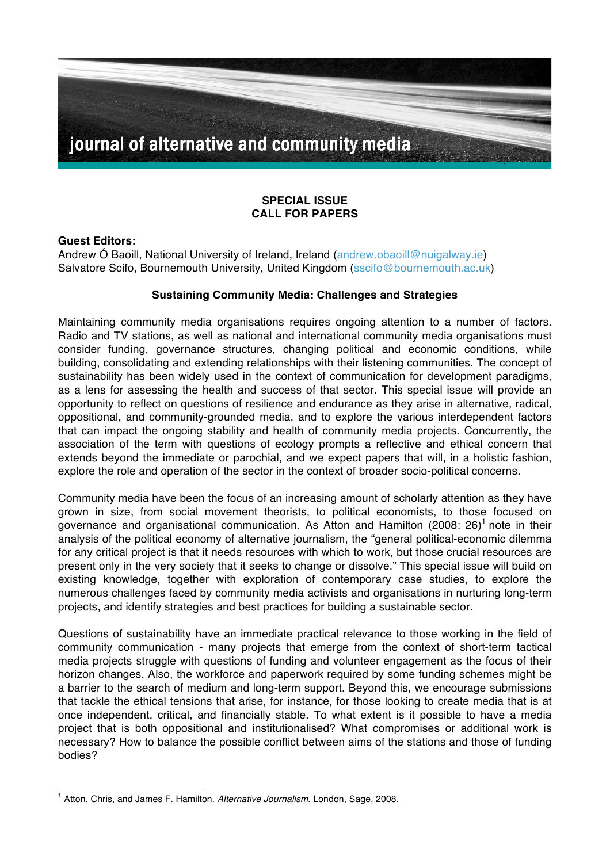

# **SPECIAL ISSUE CALL FOR PAPERS**

#### **Guest Editors:**

Andrew Ó Baoill, National University of Ireland, Ireland (andrew.obaoill@nuigalway.ie) Salvatore Scifo, Bournemouth University, United Kingdom (sscifo@bournemouth.ac.uk)

### **Sustaining Community Media: Challenges and Strategies**

Maintaining community media organisations requires ongoing attention to a number of factors. Radio and TV stations, as well as national and international community media organisations must consider funding, governance structures, changing political and economic conditions, while building, consolidating and extending relationships with their listening communities. The concept of sustainability has been widely used in the context of communication for development paradigms, as a lens for assessing the health and success of that sector. This special issue will provide an opportunity to reflect on questions of resilience and endurance as they arise in alternative, radical, oppositional, and community-grounded media, and to explore the various interdependent factors that can impact the ongoing stability and health of community media projects. Concurrently, the association of the term with questions of ecology prompts a reflective and ethical concern that extends beyond the immediate or parochial, and we expect papers that will, in a holistic fashion, explore the role and operation of the sector in the context of broader socio-political concerns.

Community media have been the focus of an increasing amount of scholarly attention as they have grown in size, from social movement theorists, to political economists, to those focused on governance and organisational communication. As Atton and Hamilton (2008: 26)<sup>1</sup> note in their analysis of the political economy of alternative journalism, the "general political-economic dilemma for any critical project is that it needs resources with which to work, but those crucial resources are present only in the very society that it seeks to change or dissolve." This special issue will build on existing knowledge, together with exploration of contemporary case studies, to explore the numerous challenges faced by community media activists and organisations in nurturing long-term projects, and identify strategies and best practices for building a sustainable sector.

Questions of sustainability have an immediate practical relevance to those working in the field of community communication - many projects that emerge from the context of short-term tactical media projects struggle with questions of funding and volunteer engagement as the focus of their horizon changes. Also, the workforce and paperwork required by some funding schemes might be a barrier to the search of medium and long-term support. Beyond this, we encourage submissions that tackle the ethical tensions that arise, for instance, for those looking to create media that is at once independent, critical, and financially stable. To what extent is it possible to have a media project that is both oppositional and institutionalised? What compromises or additional work is necessary? How to balance the possible conflict between aims of the stations and those of funding bodies?

<sup>1</sup> Atton, Chris, and James F. Hamilton. *Alternative Journalism*. London, Sage, 2008.